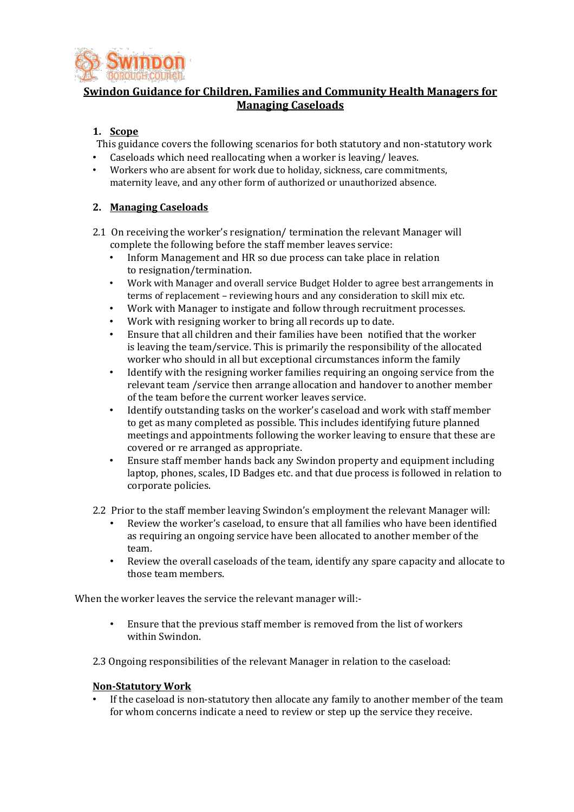

# **Swindon Guidance for Children, Families and Community Health Managers for Managing Caseloads**

# **1. Scope**

This guidance covers the following scenarios for both statutory and non-statutory work

- Caseloads which need reallocating when a worker is leaving/ leaves.
- Workers who are absent for work due to holiday, sickness, care commitments, maternity leave, and any other form of authorized or unauthorized absence.

## **2. Managing Caseloads**

- 2.1 On receiving the worker's resignation/ termination the relevant Manager will complete the following before the staff member leaves service:
	- Inform Management and HR so due process can take place in relation to resignation/termination.
	- Work with Manager and overall service Budget Holder to agree best arrangements in terms of replacement – reviewing hours and any consideration to skill mix etc.
	- Work with Manager to instigate and follow through recruitment processes.
	- Work with resigning worker to bring all records up to date.
	- Ensure that all children and their families have been notified that the worker is leaving the team/service. This is primarily the responsibility of the allocated worker who should in all but exceptional circumstances inform the family
	- Identify with the resigning worker families requiring an ongoing service from the relevant team /service then arrange allocation and handover to another member of the team before the current worker leaves service.
	- Identify outstanding tasks on the worker's caseload and work with staff member to get as many completed as possible. This includes identifying future planned meetings and appointments following the worker leaving to ensure that these are covered or re arranged as appropriate.
	- Ensure staff member hands back any Swindon property and equipment including laptop, phones, scales, ID Badges etc. and that due process is followed in relation to corporate policies.
- 2.2 Prior to the staff member leaving Swindon's employment the relevant Manager will:
	- Review the worker's caseload, to ensure that all families who have been identified as requiring an ongoing service have been allocated to another member of the team.
	- Review the overall caseloads of the team, identify any spare capacity and allocate to those team members.

When the worker leaves the service the relevant manager will:-

• Ensure that the previous staff member is removed from the list of workers within Swindon.

2.3 Ongoing responsibilities of the relevant Manager in relation to the caseload:

#### **Non-Statutory Work**

If the caseload is non-statutory then allocate any family to another member of the team for whom concerns indicate a need to review or step up the service they receive.